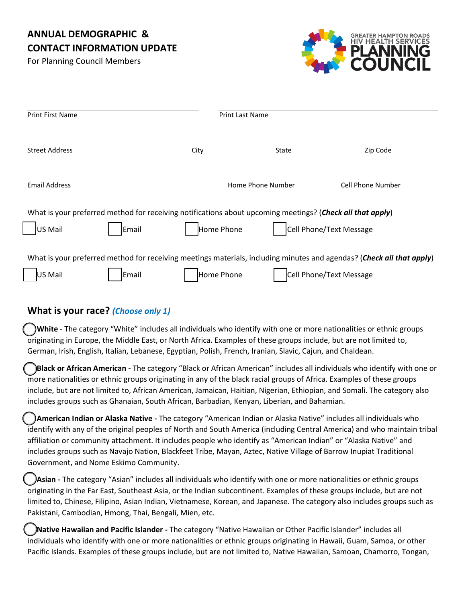# **ANNUAL DEMOGRAPHIC & CONTACT INFORMATION UPDATE**

For Planning Council Members



| Print First Name                                                                                                                                                       |       | <b>Print Last Name</b> |                   |                                |
|------------------------------------------------------------------------------------------------------------------------------------------------------------------------|-------|------------------------|-------------------|--------------------------------|
| <b>Street Address</b>                                                                                                                                                  |       | City                   | State             | Zip Code                       |
| <b>Email Address</b>                                                                                                                                                   |       |                        | Home Phone Number | <b>Cell Phone Number</b>       |
| What is your preferred method for receiving notifications about upcoming meetings? (Check all that apply)<br>Cell Phone/Text Message<br>Email<br>Home Phone<br>US Mail |       |                        |                   |                                |
| What is your preferred method for receiving meetings materials, including minutes and agendas? (Check all that apply)                                                  |       |                        |                   |                                |
| US Mail                                                                                                                                                                | Email | Home Phone             |                   | <b>Cell Phone/Text Message</b> |

# **What is your race?** *(Choose only 1)*

 **White** - The category "White" includes all individuals who identify with one or more nationalities or ethnic groups originating in Europe, the Middle East, or North Africa. Examples of these groups include, but are not limited to, German, Irish, English, Italian, Lebanese, Egyptian, Polish, French, Iranian, Slavic, Cajun, and Chaldean.

 **Black or African American -** The category "Black or African American" includes all individuals who identify with one or more nationalities or ethnic groups originating in any of the black racial groups of Africa. Examples of these groups include, but are not limited to, African American, Jamaican, Haitian, Nigerian, Ethiopian, and Somali. The category also includes groups such as Ghanaian, South African, Barbadian, Kenyan, Liberian, and Bahamian.

 **American Indian or Alaska Native -** The category "American Indian or Alaska Native" includes all individuals who identify with any of the original peoples of North and South America (including Central America) and who maintain tribal affiliation or community attachment. It includes people who identify as "American Indian" or "Alaska Native" and includes groups such as Navajo Nation, Blackfeet Tribe, Mayan, Aztec, Native Village of Barrow Inupiat Traditional Government, and Nome Eskimo Community.

 **Asian -** The category "Asian" includes all individuals who identify with one or more nationalities or ethnic groups originating in the Far East, Southeast Asia, or the Indian subcontinent. Examples of these groups include, but are not limited to, Chinese, Filipino, Asian Indian, Vietnamese, Korean, and Japanese. The category also includes groups such as Pakistani, Cambodian, Hmong, Thai, Bengali, Mien, etc.

 **Native Hawaiian and Pacific Islander -** The category "Native Hawaiian or Other Pacific Islander" includes all individuals who identify with one or more nationalities or ethnic groups originating in Hawaii, Guam, Samoa, or other Pacific Islands. Examples of these groups include, but are not limited to, Native Hawaiian, Samoan, Chamorro, Tongan,